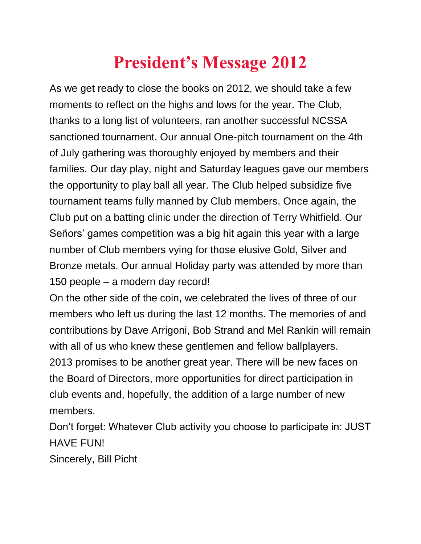## **President's Message 2012**

As we get ready to close the books on 2012, we should take a few moments to reflect on the highs and lows for the year. The Club, thanks to a long list of volunteers, ran another successful NCSSA sanctioned tournament. Our annual One-pitch tournament on the 4th of July gathering was thoroughly enjoyed by members and their families. Our day play, night and Saturday leagues gave our members the opportunity to play ball all year. The Club helped subsidize five tournament teams fully manned by Club members. Once again, the Club put on a batting clinic under the direction of Terry Whitfield. Our Señors' games competition was a big hit again this year with a large number of Club members vying for those elusive Gold, Silver and Bronze metals. Our annual Holiday party was attended by more than 150 people – a modern day record!

On the other side of the coin, we celebrated the lives of three of our members who left us during the last 12 months. The memories of and contributions by Dave Arrigoni, Bob Strand and Mel Rankin will remain with all of us who knew these gentlemen and fellow ballplayers. 2013 promises to be another great year. There will be new faces on the Board of Directors, more opportunities for direct participation in club events and, hopefully, the addition of a large number of new members.

Don't forget: Whatever Club activity you choose to participate in: JUST HAVE FUN!

Sincerely, Bill Picht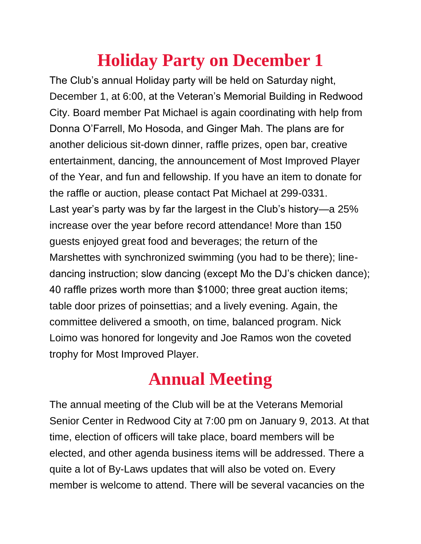#### **Holiday Party on December 1**

The Club's annual Holiday party will be held on Saturday night, December 1, at 6:00, at the Veteran's Memorial Building in Redwood City. Board member Pat Michael is again coordinating with help from Donna O'Farrell, Mo Hosoda, and Ginger Mah. The plans are for another delicious sit-down dinner, raffle prizes, open bar, creative entertainment, dancing, the announcement of Most Improved Player of the Year, and fun and fellowship. If you have an item to donate for the raffle or auction, please contact Pat Michael at 299-0331. Last year's party was by far the largest in the Club's history—a 25% increase over the year before record attendance! More than 150 guests enjoyed great food and beverages; the return of the Marshettes with synchronized swimming (you had to be there); linedancing instruction; slow dancing (except Mo the DJ's chicken dance); 40 raffle prizes worth more than \$1000; three great auction items; table door prizes of poinsettias; and a lively evening. Again, the committee delivered a smooth, on time, balanced program. Nick Loimo was honored for longevity and Joe Ramos won the coveted trophy for Most Improved Player.

#### **Annual Meeting**

The annual meeting of the Club will be at the Veterans Memorial Senior Center in Redwood City at 7:00 pm on January 9, 2013. At that time, election of officers will take place, board members will be elected, and other agenda business items will be addressed. There a quite a lot of By-Laws updates that will also be voted on. Every member is welcome to attend. There will be several vacancies on the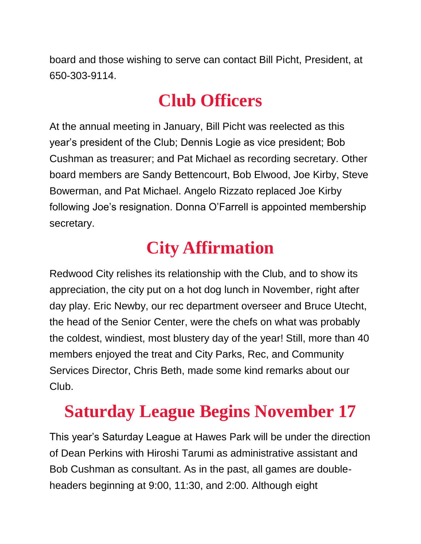board and those wishing to serve can contact Bill Picht, President, at 650-303-9114.

### **Club Officers**

At the annual meeting in January, Bill Picht was reelected as this year's president of the Club; Dennis Logie as vice president; Bob Cushman as treasurer; and Pat Michael as recording secretary. Other board members are Sandy Bettencourt, Bob Elwood, Joe Kirby, Steve Bowerman, and Pat Michael. Angelo Rizzato replaced Joe Kirby following Joe's resignation. Donna O'Farrell is appointed membership secretary.

# **City Affirmation**

Redwood City relishes its relationship with the Club, and to show its appreciation, the city put on a hot dog lunch in November, right after day play. Eric Newby, our rec department overseer and Bruce Utecht, the head of the Senior Center, were the chefs on what was probably the coldest, windiest, most blustery day of the year! Still, more than 40 members enjoyed the treat and City Parks, Rec, and Community Services Director, Chris Beth, made some kind remarks about our Club.

#### **Saturday League Begins November 17**

This year's Saturday League at Hawes Park will be under the direction of Dean Perkins with Hiroshi Tarumi as administrative assistant and Bob Cushman as consultant. As in the past, all games are doubleheaders beginning at 9:00, 11:30, and 2:00. Although eight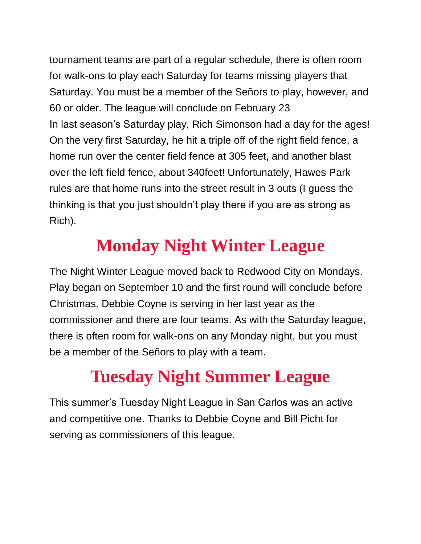tournament teams are part of a regular schedule, there is often room for walk-ons to play each Saturday for teams missing players that Saturday. You must be a member of the Señors to play, however, and 60 or older. The league will conclude on February 23 In last season's Saturday play, Rich Simonson had a day for the ages! On the very first Saturday, he hit a triple off of the right field fence, a home run over the center field fence at 305 feet, and another blast over the left field fence, about 340feet! Unfortunately, Hawes Park rules are that home runs into the street result in 3 outs (I guess the thinking is that you just shouldn't play there if you are as strong as Rich).

# **Monday Night Winter League**

The Night Winter League moved back to Redwood City on Mondays. Play began on September 10 and the first round will conclude before Christmas. Debbie Coyne is serving in her last year as the commissioner and there are four teams. As with the Saturday league, there is often room for walk-ons on any Monday night, but you must be a member of the Señors to play with a team.

# **Tuesday Night Summer League**

This summer's Tuesday Night League in San Carlos was an active and competitive one. Thanks to Debbie Coyne and Bill Picht for serving as commissioners of this league.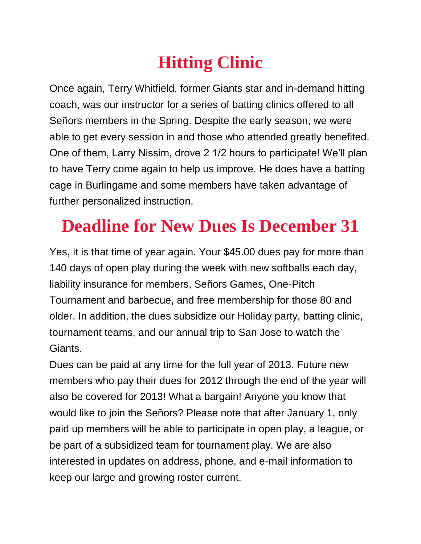# **Hitting Clinic**

Once again, Terry Whitfield, former Giants star and in-demand hitting coach, was our instructor for a series of batting clinics offered to all Señors members in the Spring. Despite the early season, we were able to get every session in and those who attended greatly benefited. One of them, Larry Nissim, drove 2 1/2 hours to participate! We'll plan to have Terry come again to help us improve. He does have a batting cage in Burlingame and some members have taken advantage of further personalized instruction.

## **Deadline for New Dues Is December 31**

Yes, it is that time of year again. Your \$45.00 dues pay for more than 140 days of open play during the week with new softballs each day, liability insurance for members, Señors Games, One-Pitch Tournament and barbecue, and free membership for those 80 and older. In addition, the dues subsidize our Holiday party, batting clinic, tournament teams, and our annual trip to San Jose to watch the Giants.

Dues can be paid at any time for the full year of 2013. Future new members who pay their dues for 2012 through the end of the year will also be covered for 2013! What a bargain! Anyone you know that would like to join the Señors? Please note that after January 1, only paid up members will be able to participate in open play, a league, or be part of a subsidized team for tournament play. We are also interested in updates on address, phone, and e-mail information to keep our large and growing roster current.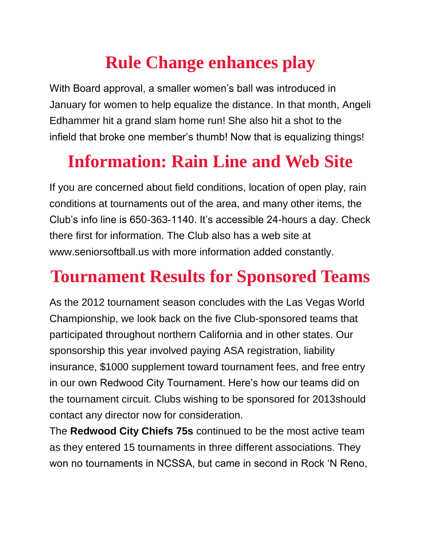# **Rule Change enhances play**

With Board approval, a smaller women's ball was introduced in January for women to help equalize the distance. In that month, Angeli Edhammer hit a grand slam home run! She also hit a shot to the infield that broke one member's thumb! Now that is equalizing things!

## **Information: Rain Line and Web Site**

If you are concerned about field conditions, location of open play, rain conditions at tournaments out of the area, and many other items, the Club's info line is 650-363-1140. It's accessible 24-hours a day. Check there first for information. The Club also has a web site at www.seniorsoftball.us with more information added constantly.

#### **Tournament Results for Sponsored Teams**

As the 2012 tournament season concludes with the Las Vegas World Championship, we look back on the five Club-sponsored teams that participated throughout northern California and in other states. Our sponsorship this year involved paying ASA registration, liability insurance, \$1000 supplement toward tournament fees, and free entry in our own Redwood City Tournament. Here's how our teams did on the tournament circuit. Clubs wishing to be sponsored for 2013should contact any director now for consideration.

The **Redwood City Chiefs 75s** continued to be the most active team as they entered 15 tournaments in three different associations. They won no tournaments in NCSSA, but came in second in Rock 'N Reno,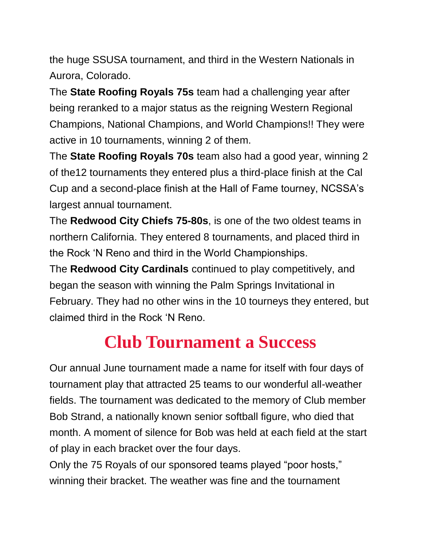the huge SSUSA tournament, and third in the Western Nationals in Aurora, Colorado.

The **State Roofing Royals 75s** team had a challenging year after being reranked to a major status as the reigning Western Regional Champions, National Champions, and World Champions!! They were active in 10 tournaments, winning 2 of them.

The **State Roofing Royals 70s** team also had a good year, winning 2 of the12 tournaments they entered plus a third-place finish at the Cal Cup and a second-place finish at the Hall of Fame tourney, NCSSA's largest annual tournament.

The **Redwood City Chiefs 75-80s**, is one of the two oldest teams in northern California. They entered 8 tournaments, and placed third in the Rock 'N Reno and third in the World Championships.

The **Redwood City Cardinals** continued to play competitively, and began the season with winning the Palm Springs Invitational in February. They had no other wins in the 10 tourneys they entered, but claimed third in the Rock 'N Reno.

### **Club Tournament a Success**

Our annual June tournament made a name for itself with four days of tournament play that attracted 25 teams to our wonderful all-weather fields. The tournament was dedicated to the memory of Club member Bob Strand, a nationally known senior softball figure, who died that month. A moment of silence for Bob was held at each field at the start of play in each bracket over the four days.

Only the 75 Royals of our sponsored teams played "poor hosts," winning their bracket. The weather was fine and the tournament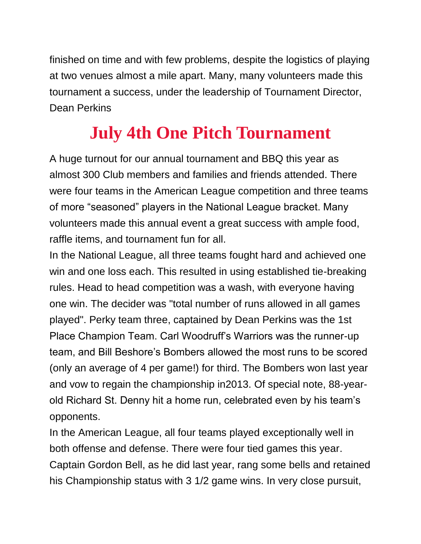finished on time and with few problems, despite the logistics of playing at two venues almost a mile apart. Many, many volunteers made this tournament a success, under the leadership of Tournament Director, Dean Perkins

# **July 4th One Pitch Tournament**

A huge turnout for our annual tournament and BBQ this year as almost 300 Club members and families and friends attended. There were four teams in the American League competition and three teams of more "seasoned" players in the National League bracket. Many volunteers made this annual event a great success with ample food, raffle items, and tournament fun for all.

In the National League, all three teams fought hard and achieved one win and one loss each. This resulted in using established tie-breaking rules. Head to head competition was a wash, with everyone having one win. The decider was "total number of runs allowed in all games played". Perky team three, captained by Dean Perkins was the 1st Place Champion Team. Carl Woodruff's Warriors was the runner-up team, and Bill Beshore's Bombers allowed the most runs to be scored (only an average of 4 per game!) for third. The Bombers won last year and vow to regain the championship in2013. Of special note, 88-yearold Richard St. Denny hit a home run, celebrated even by his team's opponents.

In the American League, all four teams played exceptionally well in both offense and defense. There were four tied games this year. Captain Gordon Bell, as he did last year, rang some bells and retained his Championship status with 3 1/2 game wins. In very close pursuit,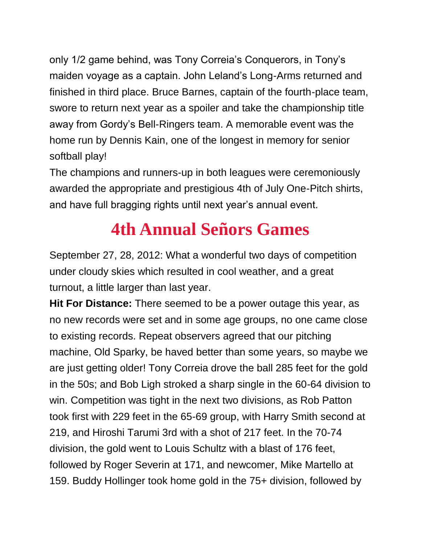only 1/2 game behind, was Tony Correia's Conquerors, in Tony's maiden voyage as a captain. John Leland's Long-Arms returned and finished in third place. Bruce Barnes, captain of the fourth-place team, swore to return next year as a spoiler and take the championship title away from Gordy's Bell-Ringers team. A memorable event was the home run by Dennis Kain, one of the longest in memory for senior softball play!

The champions and runners-up in both leagues were ceremoniously awarded the appropriate and prestigious 4th of July One-Pitch shirts, and have full bragging rights until next year's annual event.

## **4th Annual Señors Games**

September 27, 28, 2012: What a wonderful two days of competition under cloudy skies which resulted in cool weather, and a great turnout, a little larger than last year.

**Hit For Distance:** There seemed to be a power outage this year, as no new records were set and in some age groups, no one came close to existing records. Repeat observers agreed that our pitching machine, Old Sparky, be haved better than some years, so maybe we are just getting older! Tony Correia drove the ball 285 feet for the gold in the 50s; and Bob Ligh stroked a sharp single in the 60-64 division to win. Competition was tight in the next two divisions, as Rob Patton took first with 229 feet in the 65-69 group, with Harry Smith second at 219, and Hiroshi Tarumi 3rd with a shot of 217 feet. In the 70-74 division, the gold went to Louis Schultz with a blast of 176 feet, followed by Roger Severin at 171, and newcomer, Mike Martello at 159. Buddy Hollinger took home gold in the 75+ division, followed by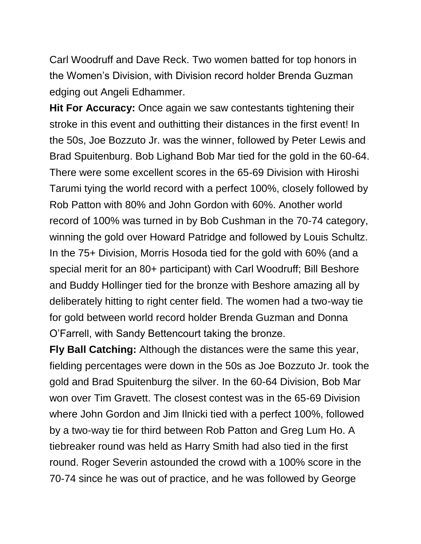Carl Woodruff and Dave Reck. Two women batted for top honors in the Women's Division, with Division record holder Brenda Guzman edging out Angeli Edhammer.

**Hit For Accuracy:** Once again we saw contestants tightening their stroke in this event and outhitting their distances in the first event! In the 50s, Joe Bozzuto Jr. was the winner, followed by Peter Lewis and Brad Spuitenburg. Bob Lighand Bob Mar tied for the gold in the 60-64. There were some excellent scores in the 65-69 Division with Hiroshi Tarumi tying the world record with a perfect 100%, closely followed by Rob Patton with 80% and John Gordon with 60%. Another world record of 100% was turned in by Bob Cushman in the 70-74 category, winning the gold over Howard Patridge and followed by Louis Schultz. In the 75+ Division, Morris Hosoda tied for the gold with 60% (and a special merit for an 80+ participant) with Carl Woodruff; Bill Beshore and Buddy Hollinger tied for the bronze with Beshore amazing all by deliberately hitting to right center field. The women had a two-way tie for gold between world record holder Brenda Guzman and Donna O'Farrell, with Sandy Bettencourt taking the bronze.

**Fly Ball Catching:** Although the distances were the same this year, fielding percentages were down in the 50s as Joe Bozzuto Jr. took the gold and Brad Spuitenburg the silver. In the 60-64 Division, Bob Mar won over Tim Gravett. The closest contest was in the 65-69 Division where John Gordon and Jim Ilnicki tied with a perfect 100%, followed by a two-way tie for third between Rob Patton and Greg Lum Ho. A tiebreaker round was held as Harry Smith had also tied in the first round. Roger Severin astounded the crowd with a 100% score in the 70-74 since he was out of practice, and he was followed by George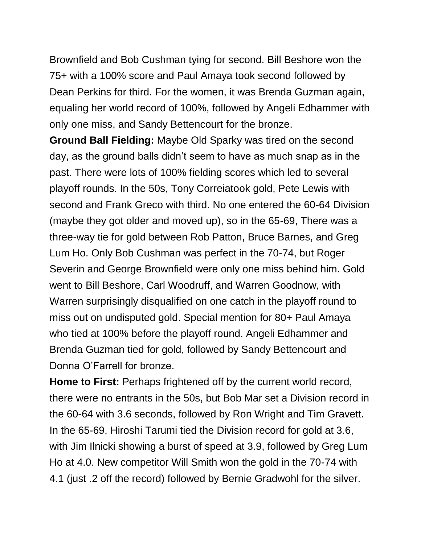Brownfield and Bob Cushman tying for second. Bill Beshore won the 75+ with a 100% score and Paul Amaya took second followed by Dean Perkins for third. For the women, it was Brenda Guzman again, equaling her world record of 100%, followed by Angeli Edhammer with only one miss, and Sandy Bettencourt for the bronze.

**Ground Ball Fielding:** Maybe Old Sparky was tired on the second day, as the ground balls didn't seem to have as much snap as in the past. There were lots of 100% fielding scores which led to several playoff rounds. In the 50s, Tony Correiatook gold, Pete Lewis with second and Frank Greco with third. No one entered the 60-64 Division (maybe they got older and moved up), so in the 65-69, There was a three-way tie for gold between Rob Patton, Bruce Barnes, and Greg Lum Ho. Only Bob Cushman was perfect in the 70-74, but Roger Severin and George Brownfield were only one miss behind him. Gold went to Bill Beshore, Carl Woodruff, and Warren Goodnow, with Warren surprisingly disqualified on one catch in the playoff round to miss out on undisputed gold. Special mention for 80+ Paul Amaya who tied at 100% before the playoff round. Angeli Edhammer and Brenda Guzman tied for gold, followed by Sandy Bettencourt and Donna O'Farrell for bronze.

**Home to First:** Perhaps frightened off by the current world record, there were no entrants in the 50s, but Bob Mar set a Division record in the 60-64 with 3.6 seconds, followed by Ron Wright and Tim Gravett. In the 65-69, Hiroshi Tarumi tied the Division record for gold at 3.6, with Jim Ilnicki showing a burst of speed at 3.9, followed by Greg Lum Ho at 4.0. New competitor Will Smith won the gold in the 70-74 with 4.1 (just .2 off the record) followed by Bernie Gradwohl for the silver.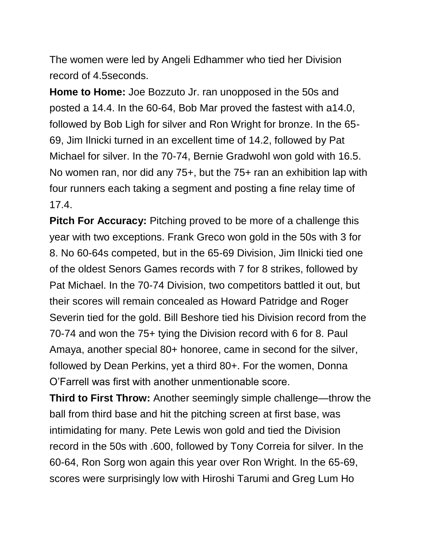The women were led by Angeli Edhammer who tied her Division record of 4.5seconds.

**Home to Home:** Joe Bozzuto Jr. ran unopposed in the 50s and posted a 14.4. In the 60-64, Bob Mar proved the fastest with a14.0, followed by Bob Ligh for silver and Ron Wright for bronze. In the 65- 69, Jim Ilnicki turned in an excellent time of 14.2, followed by Pat Michael for silver. In the 70-74, Bernie Gradwohl won gold with 16.5. No women ran, nor did any 75+, but the 75+ ran an exhibition lap with four runners each taking a segment and posting a fine relay time of 17.4.

**Pitch For Accuracy:** Pitching proved to be more of a challenge this year with two exceptions. Frank Greco won gold in the 50s with 3 for 8. No 60-64s competed, but in the 65-69 Division, Jim Ilnicki tied one of the oldest Senors Games records with 7 for 8 strikes, followed by Pat Michael. In the 70-74 Division, two competitors battled it out, but their scores will remain concealed as Howard Patridge and Roger Severin tied for the gold. Bill Beshore tied his Division record from the 70-74 and won the 75+ tying the Division record with 6 for 8. Paul Amaya, another special 80+ honoree, came in second for the silver, followed by Dean Perkins, yet a third 80+. For the women, Donna O'Farrell was first with another unmentionable score.

**Third to First Throw:** Another seemingly simple challenge—throw the ball from third base and hit the pitching screen at first base, was intimidating for many. Pete Lewis won gold and tied the Division record in the 50s with .600, followed by Tony Correia for silver. In the 60-64, Ron Sorg won again this year over Ron Wright. In the 65-69, scores were surprisingly low with Hiroshi Tarumi and Greg Lum Ho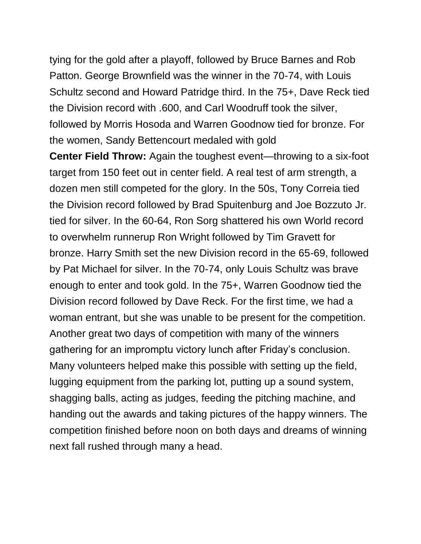tying for the gold after a playoff, followed by Bruce Barnes and Rob Patton. George Brownfield was the winner in the 70-74, with Louis Schultz second and Howard Patridge third. In the 75+, Dave Reck tied the Division record with .600, and Carl Woodruff took the silver, followed by Morris Hosoda and Warren Goodnow tied for bronze. For the women, Sandy Bettencourt medaled with gold

**Center Field Throw:** Again the toughest event—throwing to a six-foot target from 150 feet out in center field. A real test of arm strength, a dozen men still competed for the glory. In the 50s, Tony Correia tied the Division record followed by Brad Spuitenburg and Joe Bozzuto Jr. tied for silver. In the 60-64, Ron Sorg shattered his own World record to overwhelm runnerup Ron Wright followed by Tim Gravett for bronze. Harry Smith set the new Division record in the 65-69, followed by Pat Michael for silver. In the 70-74, only Louis Schultz was brave enough to enter and took gold. In the 75+, Warren Goodnow tied the Division record followed by Dave Reck. For the first time, we had a woman entrant, but she was unable to be present for the competition. Another great two days of competition with many of the winners gathering for an impromptu victory lunch after Friday's conclusion. Many volunteers helped make this possible with setting up the field, lugging equipment from the parking lot, putting up a sound system, shagging balls, acting as judges, feeding the pitching machine, and handing out the awards and taking pictures of the happy winners. The competition finished before noon on both days and dreams of winning next fall rushed through many a head.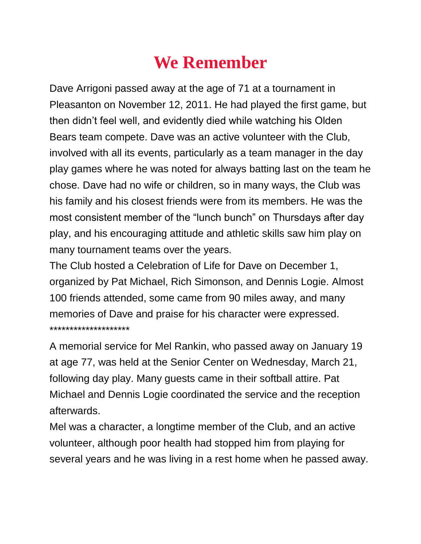#### **We Remember**

Dave Arrigoni passed away at the age of 71 at a tournament in Pleasanton on November 12, 2011. He had played the first game, but then didn't feel well, and evidently died while watching his Olden Bears team compete. Dave was an active volunteer with the Club, involved with all its events, particularly as a team manager in the day play games where he was noted for always batting last on the team he chose. Dave had no wife or children, so in many ways, the Club was his family and his closest friends were from its members. He was the most consistent member of the "lunch bunch" on Thursdays after day play, and his encouraging attitude and athletic skills saw him play on many tournament teams over the years.

The Club hosted a Celebration of Life for Dave on December 1, organized by Pat Michael, Rich Simonson, and Dennis Logie. Almost 100 friends attended, some came from 90 miles away, and many memories of Dave and praise for his character were expressed. \*\*\*\*\*\*\*\*\*\*\*\*\*\*\*\*\*\*\*\*

A memorial service for Mel Rankin, who passed away on January 19 at age 77, was held at the Senior Center on Wednesday, March 21, following day play. Many guests came in their softball attire. Pat Michael and Dennis Logie coordinated the service and the reception afterwards.

Mel was a character, a longtime member of the Club, and an active volunteer, although poor health had stopped him from playing for several years and he was living in a rest home when he passed away.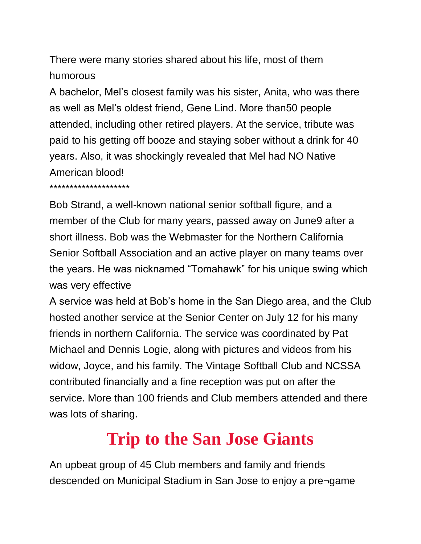There were many stories shared about his life, most of them humorous

A bachelor, Mel's closest family was his sister, Anita, who was there as well as Mel's oldest friend, Gene Lind. More than50 people attended, including other retired players. At the service, tribute was paid to his getting off booze and staying sober without a drink for 40 years. Also, it was shockingly revealed that Mel had NO Native American blood!

\*\*\*\*\*\*\*\*\*\*\*\*\*\*\*\*\*\*\*\*

Bob Strand, a well-known national senior softball figure, and a member of the Club for many years, passed away on June9 after a short illness. Bob was the Webmaster for the Northern California Senior Softball Association and an active player on many teams over the years. He was nicknamed "Tomahawk" for his unique swing which was very effective

A service was held at Bob's home in the San Diego area, and the Club hosted another service at the Senior Center on July 12 for his many friends in northern California. The service was coordinated by Pat Michael and Dennis Logie, along with pictures and videos from his widow, Joyce, and his family. The Vintage Softball Club and NCSSA contributed financially and a fine reception was put on after the service. More than 100 friends and Club members attended and there was lots of sharing.

#### **Trip to the San Jose Giants**

An upbeat group of 45 Club members and family and friends descended on Municipal Stadium in San Jose to enjoy a pre¬game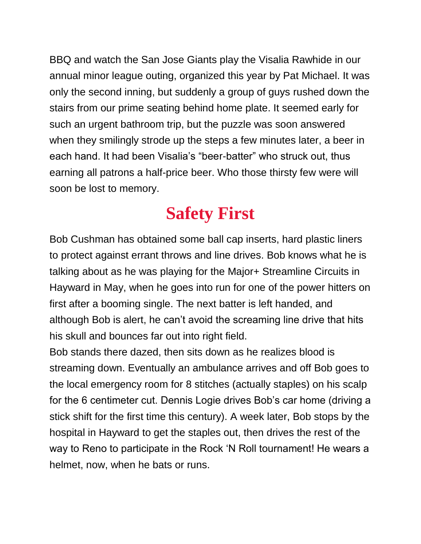BBQ and watch the San Jose Giants play the Visalia Rawhide in our annual minor league outing, organized this year by Pat Michael. It was only the second inning, but suddenly a group of guys rushed down the stairs from our prime seating behind home plate. It seemed early for such an urgent bathroom trip, but the puzzle was soon answered when they smilingly strode up the steps a few minutes later, a beer in each hand. It had been Visalia's "beer-batter" who struck out, thus earning all patrons a half-price beer. Who those thirsty few were will soon be lost to memory.

#### **Safety First**

Bob Cushman has obtained some ball cap inserts, hard plastic liners to protect against errant throws and line drives. Bob knows what he is talking about as he was playing for the Major+ Streamline Circuits in Hayward in May, when he goes into run for one of the power hitters on first after a booming single. The next batter is left handed, and although Bob is alert, he can't avoid the screaming line drive that hits his skull and bounces far out into right field.

Bob stands there dazed, then sits down as he realizes blood is streaming down. Eventually an ambulance arrives and off Bob goes to the local emergency room for 8 stitches (actually staples) on his scalp for the 6 centimeter cut. Dennis Logie drives Bob's car home (driving a stick shift for the first time this century). A week later, Bob stops by the hospital in Hayward to get the staples out, then drives the rest of the way to Reno to participate in the Rock 'N Roll tournament! He wears a helmet, now, when he bats or runs.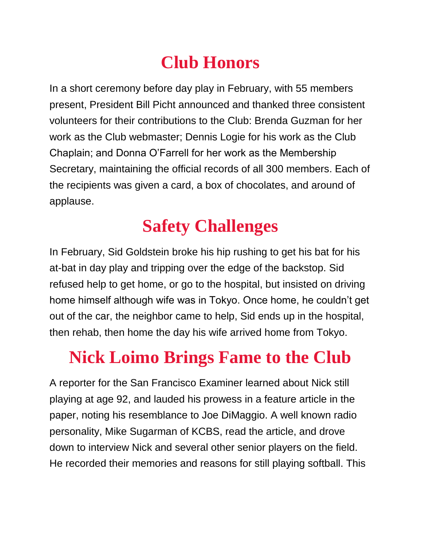# **Club Honors**

In a short ceremony before day play in February, with 55 members present, President Bill Picht announced and thanked three consistent volunteers for their contributions to the Club: Brenda Guzman for her work as the Club webmaster; Dennis Logie for his work as the Club Chaplain; and Donna O'Farrell for her work as the Membership Secretary, maintaining the official records of all 300 members. Each of the recipients was given a card, a box of chocolates, and around of applause.

## **Safety Challenges**

In February, Sid Goldstein broke his hip rushing to get his bat for his at-bat in day play and tripping over the edge of the backstop. Sid refused help to get home, or go to the hospital, but insisted on driving home himself although wife was in Tokyo. Once home, he couldn't get out of the car, the neighbor came to help, Sid ends up in the hospital, then rehab, then home the day his wife arrived home from Tokyo.

## **Nick Loimo Brings Fame to the Club**

A reporter for the San Francisco Examiner learned about Nick still playing at age 92, and lauded his prowess in a feature article in the paper, noting his resemblance to Joe DiMaggio. A well known radio personality, Mike Sugarman of KCBS, read the article, and drove down to interview Nick and several other senior players on the field. He recorded their memories and reasons for still playing softball. This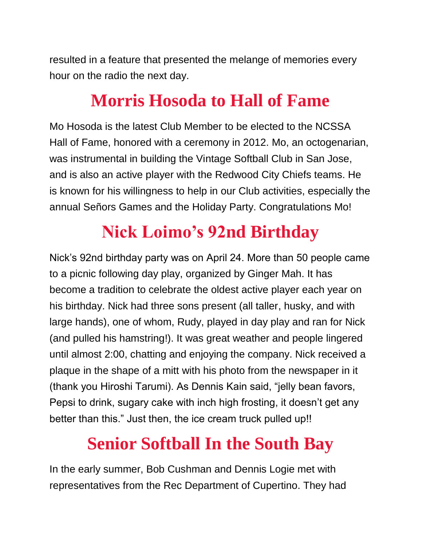resulted in a feature that presented the melange of memories every hour on the radio the next day.

### **Morris Hosoda to Hall of Fame**

Mo Hosoda is the latest Club Member to be elected to the NCSSA Hall of Fame, honored with a ceremony in 2012. Mo, an octogenarian, was instrumental in building the Vintage Softball Club in San Jose, and is also an active player with the Redwood City Chiefs teams. He is known for his willingness to help in our Club activities, especially the annual Señors Games and the Holiday Party. Congratulations Mo!

### **Nick Loimo's 92nd Birthday**

Nick's 92nd birthday party was on April 24. More than 50 people came to a picnic following day play, organized by Ginger Mah. It has become a tradition to celebrate the oldest active player each year on his birthday. Nick had three sons present (all taller, husky, and with large hands), one of whom, Rudy, played in day play and ran for Nick (and pulled his hamstring!). It was great weather and people lingered until almost 2:00, chatting and enjoying the company. Nick received a plaque in the shape of a mitt with his photo from the newspaper in it (thank you Hiroshi Tarumi). As Dennis Kain said, "jelly bean favors, Pepsi to drink, sugary cake with inch high frosting, it doesn't get any better than this." Just then, the ice cream truck pulled up!!

## **Senior Softball In the South Bay**

In the early summer, Bob Cushman and Dennis Logie met with representatives from the Rec Department of Cupertino. They had